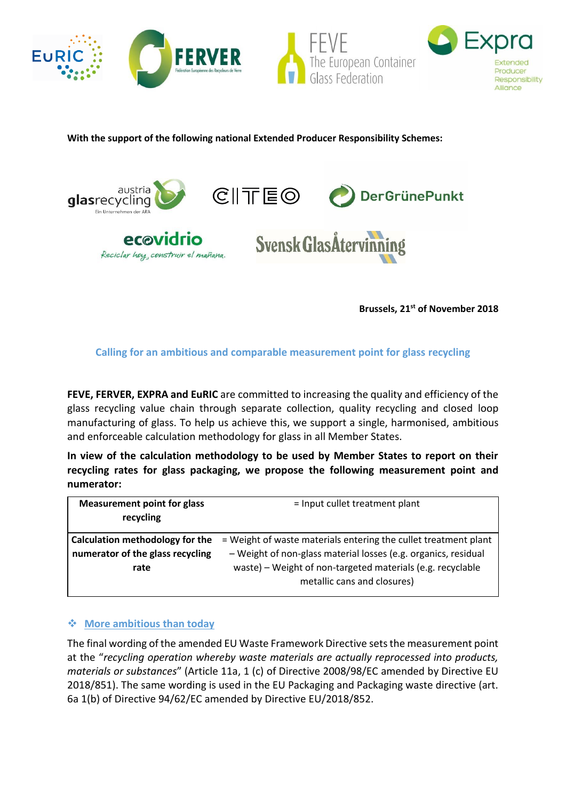

**With the support of the following national Extended Producer Responsibility Schemes:**



**Brussels, 21st of November 2018**

**Calling for an ambitious and comparable measurement point for glass recycling**

**FEVE, FERVER, EXPRA and EuRIC** are committed to increasing the quality and efficiency of the glass recycling value chain through separate collection, quality recycling and closed loop manufacturing of glass. To help us achieve this, we support a single, harmonised, ambitious and enforceable calculation methodology for glass in all Member States.

**In view of the calculation methodology to be used by Member States to report on their recycling rates for glass packaging, we propose the following measurement point and numerator:**

| <b>Measurement point for glass</b><br>recycling | = Input cullet treatment plant                                  |
|-------------------------------------------------|-----------------------------------------------------------------|
| Calculation methodology for the                 | = Weight of waste materials entering the cullet treatment plant |
| numerator of the glass recycling                | - Weight of non-glass material losses (e.g. organics, residual  |
| rate                                            | waste) – Weight of non-targeted materials (e.g. recyclable      |
|                                                 | metallic cans and closures)                                     |

## ❖ **More ambitious than today**

The final wording of the amended EU Waste Framework Directive sets the measurement point at the "*recycling operation whereby waste materials are actually reprocessed into products, materials or substances*" (Article 11a, 1 (c) of Directive 2008/98/EC amended by Directive EU 2018/851). The same wording is used in the EU Packaging and Packaging waste directive (art. 6a 1(b) of Directive 94/62/EC amended by Directive EU/2018/852.